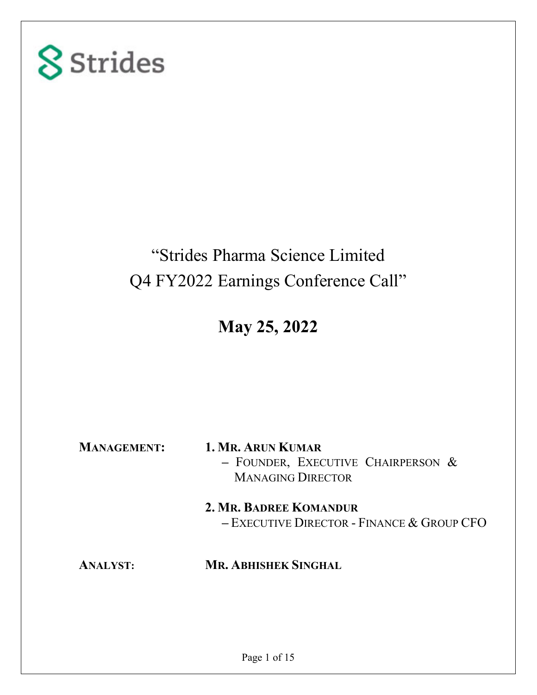

### "Strides Pharma Science Limited Q4 FY2022 Earnings Conference Call"

**May 25, 2022** 

**MANAGEMENT: 1. MR. ARUN KUMAR –** FOUNDER, EXECUTIVE CHAIRPERSON & MANAGING DIRECTOR **2. MR. BADREE KOMANDUR –** EXECUTIVE DIRECTOR - FINANCE & GROUP CFO

### **ANALYST: MR. ABHISHEK SINGHAL**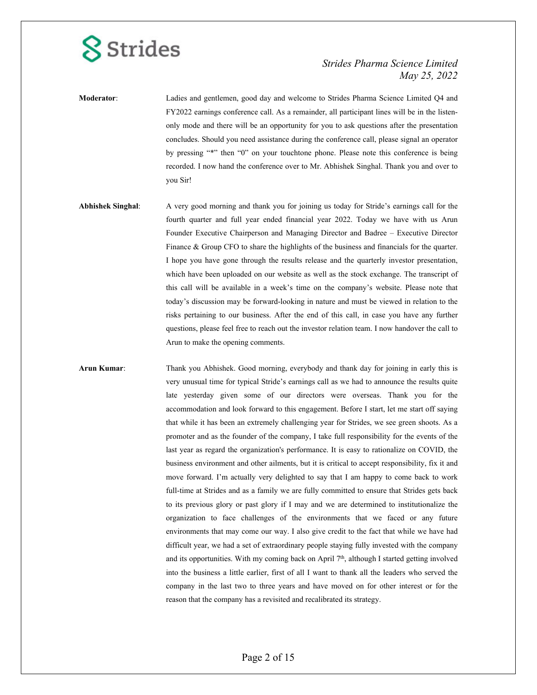### *Strides Pharma Science Limited May 25, 2022*

**Moderator**: Ladies and gentlemen, good day and welcome to Strides Pharma Science Limited Q4 and FY2022 earnings conference call. As a remainder, all participant lines will be in the listenonly mode and there will be an opportunity for you to ask questions after the presentation concludes. Should you need assistance during the conference call, please signal an operator by pressing "\*" then "0" on your touchtone phone. Please note this conference is being recorded. I now hand the conference over to Mr. Abhishek Singhal. Thank you and over to you Sir!

**Abhishek Singhal**: A very good morning and thank you for joining us today for Stride's earnings call for the fourth quarter and full year ended financial year 2022. Today we have with us Arun Founder Executive Chairperson and Managing Director and Badree – Executive Director Finance & Group CFO to share the highlights of the business and financials for the quarter. I hope you have gone through the results release and the quarterly investor presentation, which have been uploaded on our website as well as the stock exchange. The transcript of this call will be available in a week's time on the company's website. Please note that today's discussion may be forward-looking in nature and must be viewed in relation to the risks pertaining to our business. After the end of this call, in case you have any further questions, please feel free to reach out the investor relation team. I now handover the call to Arun to make the opening comments.

**Arun Kumar**: Thank you Abhishek. Good morning, everybody and thank day for joining in early this is very unusual time for typical Stride's earnings call as we had to announce the results quite late yesterday given some of our directors were overseas. Thank you for the accommodation and look forward to this engagement. Before I start, let me start off saying that while it has been an extremely challenging year for Strides, we see green shoots. As a promoter and as the founder of the company, I take full responsibility for the events of the last year as regard the organization's performance. It is easy to rationalize on COVID, the business environment and other ailments, but it is critical to accept responsibility, fix it and move forward. I'm actually very delighted to say that I am happy to come back to work full-time at Strides and as a family we are fully committed to ensure that Strides gets back to its previous glory or past glory if I may and we are determined to institutionalize the organization to face challenges of the environments that we faced or any future environments that may come our way. I also give credit to the fact that while we have had difficult year, we had a set of extraordinary people staying fully invested with the company and its opportunities. With my coming back on April 7<sup>th</sup>, although I started getting involved into the business a little earlier, first of all I want to thank all the leaders who served the company in the last two to three years and have moved on for other interest or for the reason that the company has a revisited and recalibrated its strategy.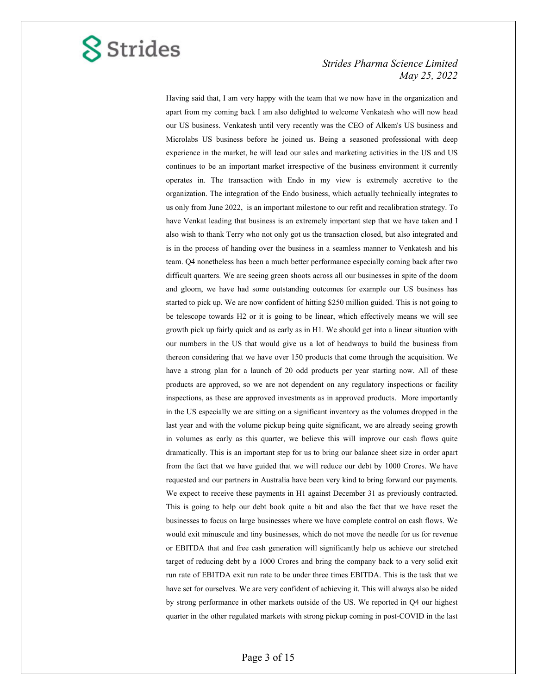

 Having said that, I am very happy with the team that we now have in the organization and apart from my coming back I am also delighted to welcome Venkatesh who will now head our US business. Venkatesh until very recently was the CEO of Alkem's US business and Microlabs US business before he joined us. Being a seasoned professional with deep experience in the market, he will lead our sales and marketing activities in the US and US continues to be an important market irrespective of the business environment it currently operates in. The transaction with Endo in my view is extremely accretive to the organization. The integration of the Endo business, which actually technically integrates to us only from June 2022, is an important milestone to our refit and recalibration strategy. To have Venkat leading that business is an extremely important step that we have taken and I also wish to thank Terry who not only got us the transaction closed, but also integrated and is in the process of handing over the business in a seamless manner to Venkatesh and his team. Q4 nonetheless has been a much better performance especially coming back after two difficult quarters. We are seeing green shoots across all our businesses in spite of the doom and gloom, we have had some outstanding outcomes for example our US business has started to pick up. We are now confident of hitting \$250 million guided. This is not going to be telescope towards H2 or it is going to be linear, which effectively means we will see growth pick up fairly quick and as early as in H1. We should get into a linear situation with our numbers in the US that would give us a lot of headways to build the business from thereon considering that we have over 150 products that come through the acquisition. We have a strong plan for a launch of 20 odd products per year starting now. All of these products are approved, so we are not dependent on any regulatory inspections or facility inspections, as these are approved investments as in approved products. More importantly in the US especially we are sitting on a significant inventory as the volumes dropped in the last year and with the volume pickup being quite significant, we are already seeing growth in volumes as early as this quarter, we believe this will improve our cash flows quite dramatically. This is an important step for us to bring our balance sheet size in order apart from the fact that we have guided that we will reduce our debt by 1000 Crores. We have requested and our partners in Australia have been very kind to bring forward our payments. We expect to receive these payments in H1 against December 31 as previously contracted. This is going to help our debt book quite a bit and also the fact that we have reset the businesses to focus on large businesses where we have complete control on cash flows. We would exit minuscule and tiny businesses, which do not move the needle for us for revenue or EBITDA that and free cash generation will significantly help us achieve our stretched target of reducing debt by a 1000 Crores and bring the company back to a very solid exit run rate of EBITDA exit run rate to be under three times EBITDA. This is the task that we have set for ourselves. We are very confident of achieving it. This will always also be aided by strong performance in other markets outside of the US. We reported in Q4 our highest quarter in the other regulated markets with strong pickup coming in post-COVID in the last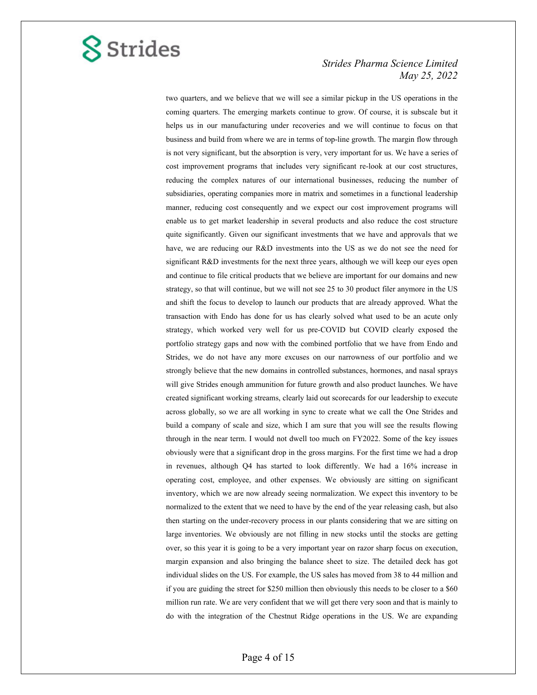

two quarters, and we believe that we will see a similar pickup in the US operations in the coming quarters. The emerging markets continue to grow. Of course, it is subscale but it helps us in our manufacturing under recoveries and we will continue to focus on that business and build from where we are in terms of top-line growth. The margin flow through is not very significant, but the absorption is very, very important for us. We have a series of cost improvement programs that includes very significant re-look at our cost structures, reducing the complex natures of our international businesses, reducing the number of subsidiaries, operating companies more in matrix and sometimes in a functional leadership manner, reducing cost consequently and we expect our cost improvement programs will enable us to get market leadership in several products and also reduce the cost structure quite significantly. Given our significant investments that we have and approvals that we have, we are reducing our R&D investments into the US as we do not see the need for significant R&D investments for the next three years, although we will keep our eyes open and continue to file critical products that we believe are important for our domains and new strategy, so that will continue, but we will not see 25 to 30 product filer anymore in the US and shift the focus to develop to launch our products that are already approved. What the transaction with Endo has done for us has clearly solved what used to be an acute only strategy, which worked very well for us pre-COVID but COVID clearly exposed the portfolio strategy gaps and now with the combined portfolio that we have from Endo and Strides, we do not have any more excuses on our narrowness of our portfolio and we strongly believe that the new domains in controlled substances, hormones, and nasal sprays will give Strides enough ammunition for future growth and also product launches. We have created significant working streams, clearly laid out scorecards for our leadership to execute across globally, so we are all working in sync to create what we call the One Strides and build a company of scale and size, which I am sure that you will see the results flowing through in the near term. I would not dwell too much on FY2022. Some of the key issues obviously were that a significant drop in the gross margins. For the first time we had a drop in revenues, although Q4 has started to look differently. We had a 16% increase in operating cost, employee, and other expenses. We obviously are sitting on significant inventory, which we are now already seeing normalization. We expect this inventory to be normalized to the extent that we need to have by the end of the year releasing cash, but also then starting on the under-recovery process in our plants considering that we are sitting on large inventories. We obviously are not filling in new stocks until the stocks are getting over, so this year it is going to be a very important year on razor sharp focus on execution, margin expansion and also bringing the balance sheet to size. The detailed deck has got individual slides on the US. For example, the US sales has moved from 38 to 44 million and if you are guiding the street for \$250 million then obviously this needs to be closer to a \$60 million run rate. We are very confident that we will get there very soon and that is mainly to do with the integration of the Chestnut Ridge operations in the US. We are expanding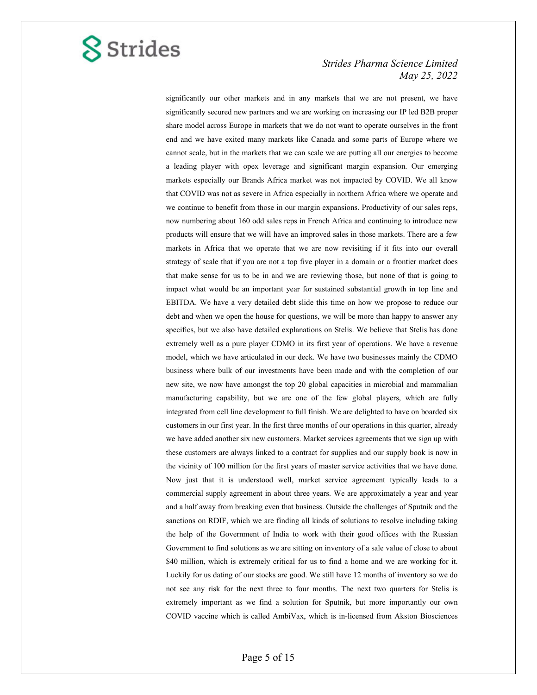

significantly our other markets and in any markets that we are not present, we have significantly secured new partners and we are working on increasing our IP led B2B proper share model across Europe in markets that we do not want to operate ourselves in the front end and we have exited many markets like Canada and some parts of Europe where we cannot scale, but in the markets that we can scale we are putting all our energies to become a leading player with opex leverage and significant margin expansion. Our emerging markets especially our Brands Africa market was not impacted by COVID. We all know that COVID was not as severe in Africa especially in northern Africa where we operate and we continue to benefit from those in our margin expansions. Productivity of our sales reps, now numbering about 160 odd sales reps in French Africa and continuing to introduce new products will ensure that we will have an improved sales in those markets. There are a few markets in Africa that we operate that we are now revisiting if it fits into our overall strategy of scale that if you are not a top five player in a domain or a frontier market does that make sense for us to be in and we are reviewing those, but none of that is going to impact what would be an important year for sustained substantial growth in top line and EBITDA. We have a very detailed debt slide this time on how we propose to reduce our debt and when we open the house for questions, we will be more than happy to answer any specifics, but we also have detailed explanations on Stelis. We believe that Stelis has done extremely well as a pure player CDMO in its first year of operations. We have a revenue model, which we have articulated in our deck. We have two businesses mainly the CDMO business where bulk of our investments have been made and with the completion of our new site, we now have amongst the top 20 global capacities in microbial and mammalian manufacturing capability, but we are one of the few global players, which are fully integrated from cell line development to full finish. We are delighted to have on boarded six customers in our first year. In the first three months of our operations in this quarter, already we have added another six new customers. Market services agreements that we sign up with these customers are always linked to a contract for supplies and our supply book is now in the vicinity of 100 million for the first years of master service activities that we have done. Now just that it is understood well, market service agreement typically leads to a commercial supply agreement in about three years. We are approximately a year and year and a half away from breaking even that business. Outside the challenges of Sputnik and the sanctions on RDIF, which we are finding all kinds of solutions to resolve including taking the help of the Government of India to work with their good offices with the Russian Government to find solutions as we are sitting on inventory of a sale value of close to about \$40 million, which is extremely critical for us to find a home and we are working for it. Luckily for us dating of our stocks are good. We still have 12 months of inventory so we do not see any risk for the next three to four months. The next two quarters for Stelis is extremely important as we find a solution for Sputnik, but more importantly our own COVID vaccine which is called AmbiVax, which is in-licensed from Akston Biosciences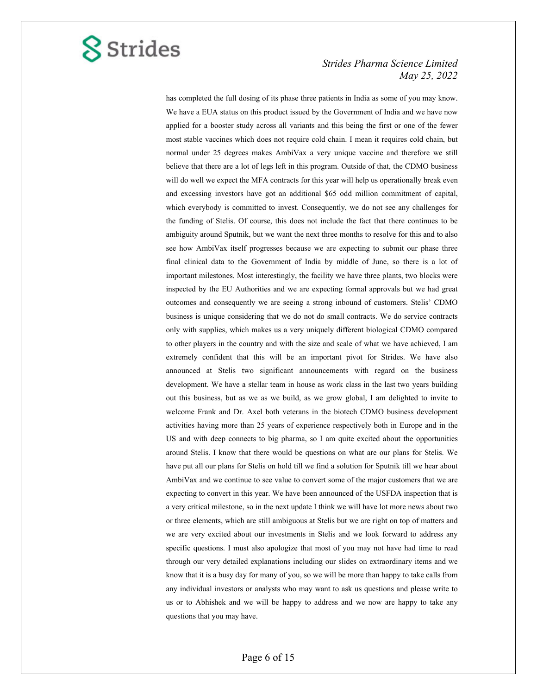

has completed the full dosing of its phase three patients in India as some of you may know. We have a EUA status on this product issued by the Government of India and we have now applied for a booster study across all variants and this being the first or one of the fewer most stable vaccines which does not require cold chain. I mean it requires cold chain, but normal under 25 degrees makes AmbiVax a very unique vaccine and therefore we still believe that there are a lot of legs left in this program. Outside of that, the CDMO business will do well we expect the MFA contracts for this year will help us operationally break even and excessing investors have got an additional \$65 odd million commitment of capital, which everybody is committed to invest. Consequently, we do not see any challenges for the funding of Stelis. Of course, this does not include the fact that there continues to be ambiguity around Sputnik, but we want the next three months to resolve for this and to also see how AmbiVax itself progresses because we are expecting to submit our phase three final clinical data to the Government of India by middle of June, so there is a lot of important milestones. Most interestingly, the facility we have three plants, two blocks were inspected by the EU Authorities and we are expecting formal approvals but we had great outcomes and consequently we are seeing a strong inbound of customers. Stelis' CDMO business is unique considering that we do not do small contracts. We do service contracts only with supplies, which makes us a very uniquely different biological CDMO compared to other players in the country and with the size and scale of what we have achieved, I am extremely confident that this will be an important pivot for Strides. We have also announced at Stelis two significant announcements with regard on the business development. We have a stellar team in house as work class in the last two years building out this business, but as we as we build, as we grow global, I am delighted to invite to welcome Frank and Dr. Axel both veterans in the biotech CDMO business development activities having more than 25 years of experience respectively both in Europe and in the US and with deep connects to big pharma, so I am quite excited about the opportunities around Stelis. I know that there would be questions on what are our plans for Stelis. We have put all our plans for Stelis on hold till we find a solution for Sputnik till we hear about AmbiVax and we continue to see value to convert some of the major customers that we are expecting to convert in this year. We have been announced of the USFDA inspection that is a very critical milestone, so in the next update I think we will have lot more news about two or three elements, which are still ambiguous at Stelis but we are right on top of matters and we are very excited about our investments in Stelis and we look forward to address any specific questions. I must also apologize that most of you may not have had time to read through our very detailed explanations including our slides on extraordinary items and we know that it is a busy day for many of you, so we will be more than happy to take calls from any individual investors or analysts who may want to ask us questions and please write to us or to Abhishek and we will be happy to address and we now are happy to take any questions that you may have.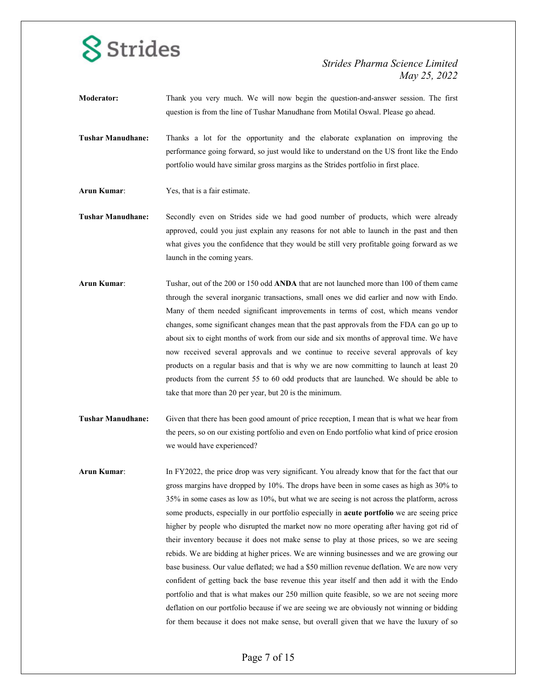

- **Moderator:** Thank you very much. We will now begin the question-and-answer session. The first question is from the line of Tushar Manudhane from Motilal Oswal. Please go ahead.
- **Tushar Manudhane:** Thanks a lot for the opportunity and the elaborate explanation on improving the performance going forward, so just would like to understand on the US front like the Endo portfolio would have similar gross margins as the Strides portfolio in first place.
- **Arun Kumar**: Yes, that is a fair estimate.
- **Tushar Manudhane:** Secondly even on Strides side we had good number of products, which were already approved, could you just explain any reasons for not able to launch in the past and then what gives you the confidence that they would be still very profitable going forward as we launch in the coming years.
- **Arun Kumar**: Tushar, out of the 200 or 150 odd **ANDA** that are not launched more than 100 of them came through the several inorganic transactions, small ones we did earlier and now with Endo. Many of them needed significant improvements in terms of cost, which means vendor changes, some significant changes mean that the past approvals from the FDA can go up to about six to eight months of work from our side and six months of approval time. We have now received several approvals and we continue to receive several approvals of key products on a regular basis and that is why we are now committing to launch at least 20 products from the current 55 to 60 odd products that are launched. We should be able to take that more than 20 per year, but 20 is the minimum.
- **Tushar Manudhane:** Given that there has been good amount of price reception, I mean that is what we hear from the peers, so on our existing portfolio and even on Endo portfolio what kind of price erosion we would have experienced?
- **Arun Kumar**: In FY2022, the price drop was very significant. You already know that for the fact that our gross margins have dropped by 10%. The drops have been in some cases as high as 30% to 35% in some cases as low as 10%, but what we are seeing is not across the platform, across some products, especially in our portfolio especially in **acute portfolio** we are seeing price higher by people who disrupted the market now no more operating after having got rid of their inventory because it does not make sense to play at those prices, so we are seeing rebids. We are bidding at higher prices. We are winning businesses and we are growing our base business. Our value deflated; we had a \$50 million revenue deflation. We are now very confident of getting back the base revenue this year itself and then add it with the Endo portfolio and that is what makes our 250 million quite feasible, so we are not seeing more deflation on our portfolio because if we are seeing we are obviously not winning or bidding for them because it does not make sense, but overall given that we have the luxury of so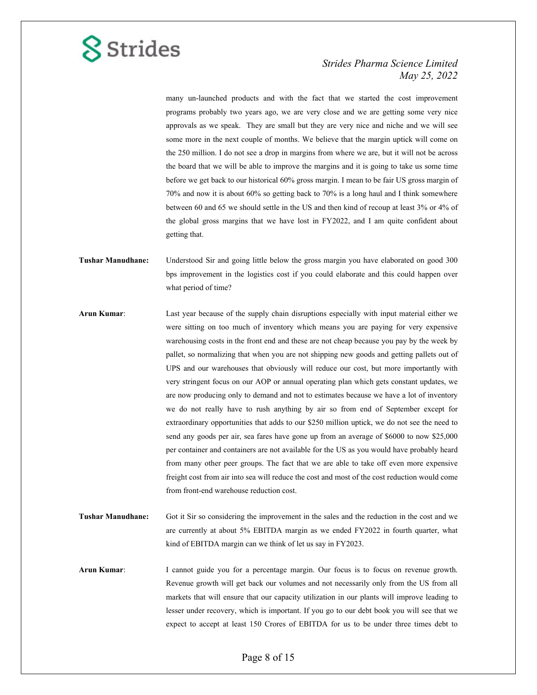

many un-launched products and with the fact that we started the cost improvement programs probably two years ago, we are very close and we are getting some very nice approvals as we speak. They are small but they are very nice and niche and we will see some more in the next couple of months. We believe that the margin uptick will come on the 250 million. I do not see a drop in margins from where we are, but it will not be across the board that we will be able to improve the margins and it is going to take us some time before we get back to our historical 60% gross margin. I mean to be fair US gross margin of 70% and now it is about 60% so getting back to 70% is a long haul and I think somewhere between 60 and 65 we should settle in the US and then kind of recoup at least 3% or 4% of the global gross margins that we have lost in FY2022, and I am quite confident about getting that.

- **Tushar Manudhane:** Understood Sir and going little below the gross margin you have elaborated on good 300 bps improvement in the logistics cost if you could elaborate and this could happen over what period of time?
- **Arun Kumar**: Last year because of the supply chain disruptions especially with input material either we were sitting on too much of inventory which means you are paying for very expensive warehousing costs in the front end and these are not cheap because you pay by the week by pallet, so normalizing that when you are not shipping new goods and getting pallets out of UPS and our warehouses that obviously will reduce our cost, but more importantly with very stringent focus on our AOP or annual operating plan which gets constant updates, we are now producing only to demand and not to estimates because we have a lot of inventory we do not really have to rush anything by air so from end of September except for extraordinary opportunities that adds to our \$250 million uptick, we do not see the need to send any goods per air, sea fares have gone up from an average of \$6000 to now \$25,000 per container and containers are not available for the US as you would have probably heard from many other peer groups. The fact that we are able to take off even more expensive freight cost from air into sea will reduce the cost and most of the cost reduction would come from front-end warehouse reduction cost.
- **Tushar Manudhane:** Got it Sir so considering the improvement in the sales and the reduction in the cost and we are currently at about 5% EBITDA margin as we ended FY2022 in fourth quarter, what kind of EBITDA margin can we think of let us say in FY2023.
- **Arun Kumar**: I cannot guide you for a percentage margin. Our focus is to focus on revenue growth. Revenue growth will get back our volumes and not necessarily only from the US from all markets that will ensure that our capacity utilization in our plants will improve leading to lesser under recovery, which is important. If you go to our debt book you will see that we expect to accept at least 150 Crores of EBITDA for us to be under three times debt to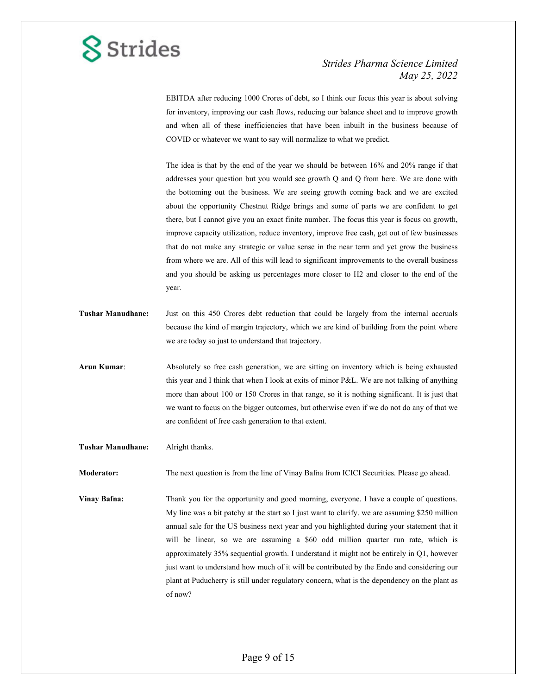### *Strides Pharma Science Limited May 25, 2022*

EBITDA after reducing 1000 Crores of debt, so I think our focus this year is about solving for inventory, improving our cash flows, reducing our balance sheet and to improve growth and when all of these inefficiencies that have been inbuilt in the business because of COVID or whatever we want to say will normalize to what we predict.

The idea is that by the end of the year we should be between 16% and 20% range if that addresses your question but you would see growth Q and Q from here. We are done with the bottoming out the business. We are seeing growth coming back and we are excited about the opportunity Chestnut Ridge brings and some of parts we are confident to get there, but I cannot give you an exact finite number. The focus this year is focus on growth, improve capacity utilization, reduce inventory, improve free cash, get out of few businesses that do not make any strategic or value sense in the near term and yet grow the business from where we are. All of this will lead to significant improvements to the overall business and you should be asking us percentages more closer to H2 and closer to the end of the year.

- **Tushar Manudhane:** Just on this 450 Crores debt reduction that could be largely from the internal accruals because the kind of margin trajectory, which we are kind of building from the point where we are today so just to understand that trajectory.
- **Arun Kumar**: Absolutely so free cash generation, we are sitting on inventory which is being exhausted this year and I think that when I look at exits of minor P&L. We are not talking of anything more than about 100 or 150 Crores in that range, so it is nothing significant. It is just that we want to focus on the bigger outcomes, but otherwise even if we do not do any of that we are confident of free cash generation to that extent.
- **Tushar Manudhane:** Alright thanks.

**Moderator:** The next question is from the line of Vinay Bafna from ICICI Securities. Please go ahead.

**Vinay Bafna:** Thank you for the opportunity and good morning, everyone. I have a couple of questions. My line was a bit patchy at the start so I just want to clarify. we are assuming \$250 million annual sale for the US business next year and you highlighted during your statement that it will be linear, so we are assuming a \$60 odd million quarter run rate, which is approximately 35% sequential growth. I understand it might not be entirely in Q1, however just want to understand how much of it will be contributed by the Endo and considering our plant at Puducherry is still under regulatory concern, what is the dependency on the plant as of now?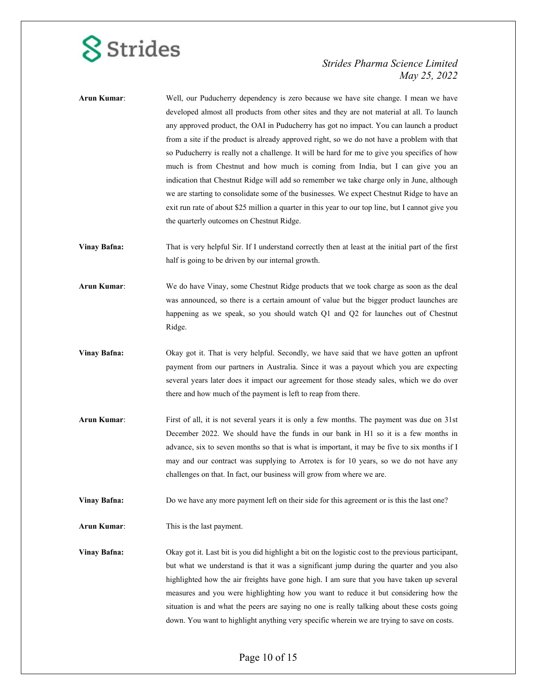### *Strides Pharma Science Limited May 25, 2022*

| Arun Kumar:         | Well, our Puducherry dependency is zero because we have site change. I mean we have<br>developed almost all products from other sites and they are not material at all. To launch<br>any approved product, the OAI in Puducherry has got no impact. You can launch a product<br>from a site if the product is already approved right, so we do not have a problem with that<br>so Puducherry is really not a challenge. It will be hard for me to give you specifics of how<br>much is from Chestnut and how much is coming from India, but I can give you an<br>indication that Chestnut Ridge will add so remember we take charge only in June, although<br>we are starting to consolidate some of the businesses. We expect Chestnut Ridge to have an<br>exit run rate of about \$25 million a quarter in this year to our top line, but I cannot give you<br>the quarterly outcomes on Chestnut Ridge. |
|---------------------|------------------------------------------------------------------------------------------------------------------------------------------------------------------------------------------------------------------------------------------------------------------------------------------------------------------------------------------------------------------------------------------------------------------------------------------------------------------------------------------------------------------------------------------------------------------------------------------------------------------------------------------------------------------------------------------------------------------------------------------------------------------------------------------------------------------------------------------------------------------------------------------------------------|
| <b>Vinay Bafna:</b> | That is very helpful Sir. If I understand correctly then at least at the initial part of the first<br>half is going to be driven by our internal growth.                                                                                                                                                                                                                                                                                                                                                                                                                                                                                                                                                                                                                                                                                                                                                   |
| Arun Kumar:         | We do have Vinay, some Chestnut Ridge products that we took charge as soon as the deal<br>was announced, so there is a certain amount of value but the bigger product launches are<br>happening as we speak, so you should watch Q1 and Q2 for launches out of Chestnut<br>Ridge.                                                                                                                                                                                                                                                                                                                                                                                                                                                                                                                                                                                                                          |
| <b>Vinay Bafna:</b> | Okay got it. That is very helpful. Secondly, we have said that we have gotten an upfront<br>payment from our partners in Australia. Since it was a payout which you are expecting<br>several years later does it impact our agreement for those steady sales, which we do over<br>there and how much of the payment is left to reap from there.                                                                                                                                                                                                                                                                                                                                                                                                                                                                                                                                                            |
| Arun Kumar:         | First of all, it is not several years it is only a few months. The payment was due on 31st<br>December 2022. We should have the funds in our bank in H1 so it is a few months in<br>advance, six to seven months so that is what is important, it may be five to six months if I<br>may and our contract was supplying to Arrotex is for 10 years, so we do not have any<br>challenges on that. In fact, our business will grow from where we are.                                                                                                                                                                                                                                                                                                                                                                                                                                                         |
| <b>Vinay Bafna:</b> | Do we have any more payment left on their side for this agreement or is this the last one?                                                                                                                                                                                                                                                                                                                                                                                                                                                                                                                                                                                                                                                                                                                                                                                                                 |
| Arun Kumar:         | This is the last payment.                                                                                                                                                                                                                                                                                                                                                                                                                                                                                                                                                                                                                                                                                                                                                                                                                                                                                  |
| <b>Vinay Bafna:</b> | Okay got it. Last bit is you did highlight a bit on the logistic cost to the previous participant,<br>but what we understand is that it was a significant jump during the quarter and you also<br>highlighted how the air freights have gone high. I am sure that you have taken up several<br>measures and you were highlighting how you want to reduce it but considering how the<br>situation is and what the peers are saying no one is really talking about these costs going<br>down. You want to highlight anything very specific wherein we are trying to save on costs.                                                                                                                                                                                                                                                                                                                           |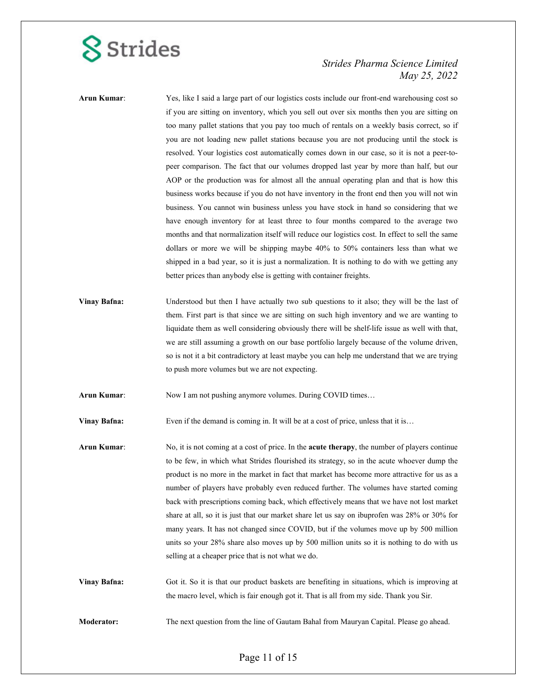### *Strides Pharma Science Limited May 25, 2022*

**Arun Kumar**: Yes, like I said a large part of our logistics costs include our front-end warehousing cost so if you are sitting on inventory, which you sell out over six months then you are sitting on too many pallet stations that you pay too much of rentals on a weekly basis correct, so if you are not loading new pallet stations because you are not producing until the stock is resolved. Your logistics cost automatically comes down in our case, so it is not a peer-topeer comparison. The fact that our volumes dropped last year by more than half, but our AOP or the production was for almost all the annual operating plan and that is how this business works because if you do not have inventory in the front end then you will not win business. You cannot win business unless you have stock in hand so considering that we have enough inventory for at least three to four months compared to the average two months and that normalization itself will reduce our logistics cost. In effect to sell the same dollars or more we will be shipping maybe 40% to 50% containers less than what we shipped in a bad year, so it is just a normalization. It is nothing to do with we getting any better prices than anybody else is getting with container freights.

**Vinay Bafna:** Understood but then I have actually two sub questions to it also; they will be the last of them. First part is that since we are sitting on such high inventory and we are wanting to liquidate them as well considering obviously there will be shelf-life issue as well with that, we are still assuming a growth on our base portfolio largely because of the volume driven, so is not it a bit contradictory at least maybe you can help me understand that we are trying to push more volumes but we are not expecting.

**Arun Kumar**: Now I am not pushing anymore volumes. During COVID times…

**Vinay Bafna:** Even if the demand is coming in. It will be at a cost of price, unless that it is...

**Arun Kumar**: No, it is not coming at a cost of price. In the **acute therapy**, the number of players continue to be few, in which what Strides flourished its strategy, so in the acute whoever dump the product is no more in the market in fact that market has become more attractive for us as a number of players have probably even reduced further. The volumes have started coming back with prescriptions coming back, which effectively means that we have not lost market share at all, so it is just that our market share let us say on ibuprofen was 28% or 30% for many years. It has not changed since COVID, but if the volumes move up by 500 million units so your 28% share also moves up by 500 million units so it is nothing to do with us selling at a cheaper price that is not what we do.

**Vinay Bafna:** Got it. So it is that our product baskets are benefiting in situations, which is improving at the macro level, which is fair enough got it. That is all from my side. Thank you Sir.

**Moderator:** The next question from the line of Gautam Bahal from Mauryan Capital. Please go ahead.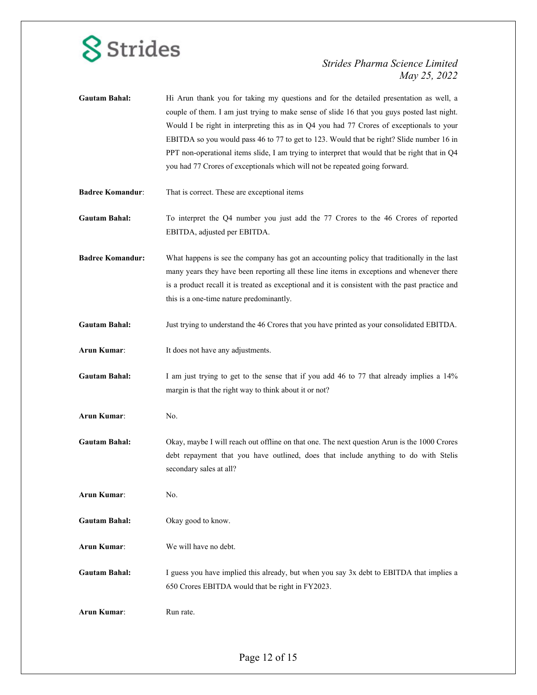

| <b>Gautam Bahal:</b>    | Hi Arun thank you for taking my questions and for the detailed presentation as well, a<br>couple of them. I am just trying to make sense of slide 16 that you guys posted last night.<br>Would I be right in interpreting this as in Q4 you had 77 Crores of exceptionals to your<br>EBITDA so you would pass 46 to 77 to get to 123. Would that be right? Slide number 16 in<br>PPT non-operational items slide, I am trying to interpret that would that be right that in Q4<br>you had 77 Crores of exceptionals which will not be repeated going forward. |
|-------------------------|---------------------------------------------------------------------------------------------------------------------------------------------------------------------------------------------------------------------------------------------------------------------------------------------------------------------------------------------------------------------------------------------------------------------------------------------------------------------------------------------------------------------------------------------------------------|
| <b>Badree Komandur:</b> | That is correct. These are exceptional items                                                                                                                                                                                                                                                                                                                                                                                                                                                                                                                  |
| <b>Gautam Bahal:</b>    | To interpret the Q4 number you just add the 77 Crores to the 46 Crores of reported<br>EBITDA, adjusted per EBITDA.                                                                                                                                                                                                                                                                                                                                                                                                                                            |
| <b>Badree Komandur:</b> | What happens is see the company has got an accounting policy that traditionally in the last<br>many years they have been reporting all these line items in exceptions and whenever there<br>is a product recall it is treated as exceptional and it is consistent with the past practice and<br>this is a one-time nature predominantly.                                                                                                                                                                                                                      |
| <b>Gautam Bahal:</b>    | Just trying to understand the 46 Crores that you have printed as your consolidated EBITDA.                                                                                                                                                                                                                                                                                                                                                                                                                                                                    |
| Arun Kumar:             | It does not have any adjustments.                                                                                                                                                                                                                                                                                                                                                                                                                                                                                                                             |
| <b>Gautam Bahal:</b>    | I am just trying to get to the sense that if you add 46 to 77 that already implies a 14%<br>margin is that the right way to think about it or not?                                                                                                                                                                                                                                                                                                                                                                                                            |
| Arun Kumar:             | No.                                                                                                                                                                                                                                                                                                                                                                                                                                                                                                                                                           |
| <b>Gautam Bahal:</b>    | Okay, maybe I will reach out offline on that one. The next question Arun is the 1000 Crores<br>debt repayment that you have outlined, does that include anything to do with Stelis<br>secondary sales at all?                                                                                                                                                                                                                                                                                                                                                 |
| Arun Kumar:             | No.                                                                                                                                                                                                                                                                                                                                                                                                                                                                                                                                                           |
| <b>Gautam Bahal:</b>    | Okay good to know.                                                                                                                                                                                                                                                                                                                                                                                                                                                                                                                                            |
| Arun Kumar:             | We will have no debt.                                                                                                                                                                                                                                                                                                                                                                                                                                                                                                                                         |
| <b>Gautam Bahal:</b>    | I guess you have implied this already, but when you say 3x debt to EBITDA that implies a<br>650 Crores EBITDA would that be right in FY2023.                                                                                                                                                                                                                                                                                                                                                                                                                  |
| Arun Kumar:             | Run rate.                                                                                                                                                                                                                                                                                                                                                                                                                                                                                                                                                     |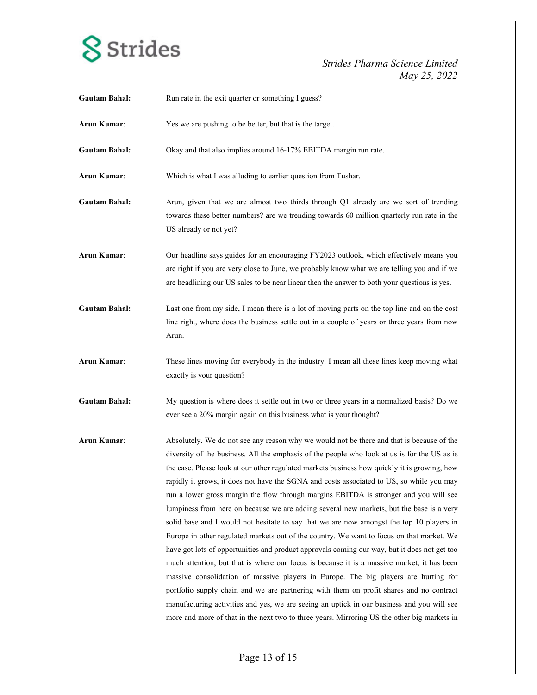

| Yes we are pushing to be better, but that is the target.                                                                                                                                                                                                                                                                                                                                                                                                                                                                                                                                                                                                                                                                                                                                                                                                                                                                                                                                                                                                                                                                                                                                                                                                                                                                                         |
|--------------------------------------------------------------------------------------------------------------------------------------------------------------------------------------------------------------------------------------------------------------------------------------------------------------------------------------------------------------------------------------------------------------------------------------------------------------------------------------------------------------------------------------------------------------------------------------------------------------------------------------------------------------------------------------------------------------------------------------------------------------------------------------------------------------------------------------------------------------------------------------------------------------------------------------------------------------------------------------------------------------------------------------------------------------------------------------------------------------------------------------------------------------------------------------------------------------------------------------------------------------------------------------------------------------------------------------------------|
| Okay and that also implies around 16-17% EBITDA margin run rate.                                                                                                                                                                                                                                                                                                                                                                                                                                                                                                                                                                                                                                                                                                                                                                                                                                                                                                                                                                                                                                                                                                                                                                                                                                                                                 |
| Which is what I was alluding to earlier question from Tushar.                                                                                                                                                                                                                                                                                                                                                                                                                                                                                                                                                                                                                                                                                                                                                                                                                                                                                                                                                                                                                                                                                                                                                                                                                                                                                    |
| Arun, given that we are almost two thirds through Q1 already are we sort of trending<br>towards these better numbers? are we trending towards 60 million quarterly run rate in the<br>US already or not yet?                                                                                                                                                                                                                                                                                                                                                                                                                                                                                                                                                                                                                                                                                                                                                                                                                                                                                                                                                                                                                                                                                                                                     |
| Our headline says guides for an encouraging FY2023 outlook, which effectively means you<br>are right if you are very close to June, we probably know what we are telling you and if we<br>are headlining our US sales to be near linear then the answer to both your questions is yes.                                                                                                                                                                                                                                                                                                                                                                                                                                                                                                                                                                                                                                                                                                                                                                                                                                                                                                                                                                                                                                                           |
| Last one from my side, I mean there is a lot of moving parts on the top line and on the cost<br>line right, where does the business settle out in a couple of years or three years from now<br>Arun.                                                                                                                                                                                                                                                                                                                                                                                                                                                                                                                                                                                                                                                                                                                                                                                                                                                                                                                                                                                                                                                                                                                                             |
| These lines moving for everybody in the industry. I mean all these lines keep moving what<br>exactly is your question?                                                                                                                                                                                                                                                                                                                                                                                                                                                                                                                                                                                                                                                                                                                                                                                                                                                                                                                                                                                                                                                                                                                                                                                                                           |
| My question is where does it settle out in two or three years in a normalized basis? Do we<br>ever see a 20% margin again on this business what is your thought?                                                                                                                                                                                                                                                                                                                                                                                                                                                                                                                                                                                                                                                                                                                                                                                                                                                                                                                                                                                                                                                                                                                                                                                 |
| Absolutely. We do not see any reason why we would not be there and that is because of the<br>diversity of the business. All the emphasis of the people who look at us is for the US as is<br>the case. Please look at our other regulated markets business how quickly it is growing, how<br>rapidly it grows, it does not have the SGNA and costs associated to US, so while you may<br>run a lower gross margin the flow through margins EBITDA is stronger and you will see<br>lumpiness from here on because we are adding several new markets, but the base is a very<br>solid base and I would not hesitate to say that we are now amongst the top 10 players in<br>Europe in other regulated markets out of the country. We want to focus on that market. We<br>have got lots of opportunities and product approvals coming our way, but it does not get too<br>much attention, but that is where our focus is because it is a massive market, it has been<br>massive consolidation of massive players in Europe. The big players are hurting for<br>portfolio supply chain and we are partnering with them on profit shares and no contract<br>manufacturing activities and yes, we are seeing an uptick in our business and you will see<br>more and more of that in the next two to three years. Mirroring US the other big markets in |
|                                                                                                                                                                                                                                                                                                                                                                                                                                                                                                                                                                                                                                                                                                                                                                                                                                                                                                                                                                                                                                                                                                                                                                                                                                                                                                                                                  |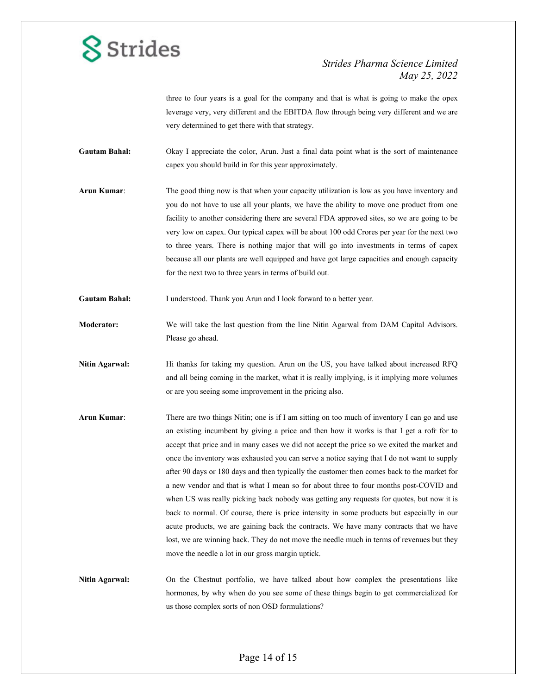### *Strides Pharma Science Limited May 25, 2022*

three to four years is a goal for the company and that is what is going to make the opex leverage very, very different and the EBITDA flow through being very different and we are very determined to get there with that strategy.

**Gautam Bahal:** Okay I appreciate the color, Arun. Just a final data point what is the sort of maintenance capex you should build in for this year approximately.

**Arun Kumar**: The good thing now is that when your capacity utilization is low as you have inventory and you do not have to use all your plants, we have the ability to move one product from one facility to another considering there are several FDA approved sites, so we are going to be very low on capex. Our typical capex will be about 100 odd Crores per year for the next two to three years. There is nothing major that will go into investments in terms of capex because all our plants are well equipped and have got large capacities and enough capacity for the next two to three years in terms of build out.

Gautam Bahal: I understood. Thank you Arun and I look forward to a better year.

**Moderator:** We will take the last question from the line Nitin Agarwal from DAM Capital Advisors. Please go ahead.

**Nitin Agarwal:** Hi thanks for taking my question. Arun on the US, you have talked about increased RFQ and all being coming in the market, what it is really implying, is it implying more volumes or are you seeing some improvement in the pricing also.

**Arun Kumar**: There are two things Nitin; one is if I am sitting on too much of inventory I can go and use an existing incumbent by giving a price and then how it works is that I get a rofr for to accept that price and in many cases we did not accept the price so we exited the market and once the inventory was exhausted you can serve a notice saying that I do not want to supply after 90 days or 180 days and then typically the customer then comes back to the market for a new vendor and that is what I mean so for about three to four months post-COVID and when US was really picking back nobody was getting any requests for quotes, but now it is back to normal. Of course, there is price intensity in some products but especially in our acute products, we are gaining back the contracts. We have many contracts that we have lost, we are winning back. They do not move the needle much in terms of revenues but they move the needle a lot in our gross margin uptick.

**Nitin Agarwal:** On the Chestnut portfolio, we have talked about how complex the presentations like hormones, by why when do you see some of these things begin to get commercialized for us those complex sorts of non OSD formulations?